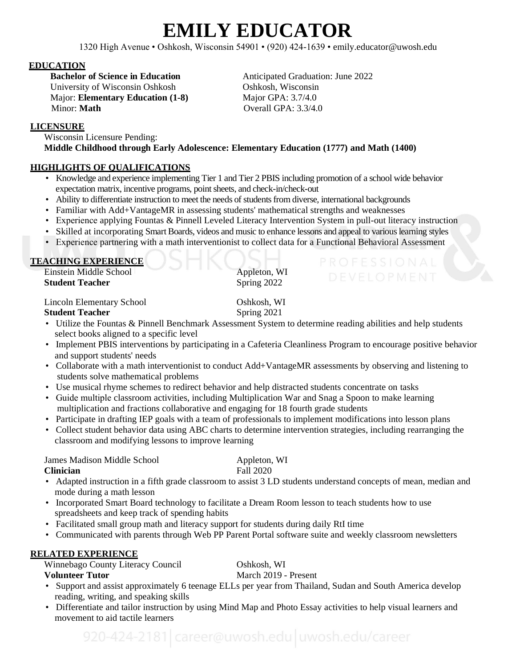# **EMILY EDUCATOR**

1320 High Avenue • Oshkosh, Wisconsin 54901 • (920) 424-1639 • emily.educator@uwosh.edu

### **EDUCATION**

University of Wisconsin Oshkosh<br>
Major: Elementary Education (1-8) Major GPA: 3.7/4.0 Major: **Elementary Education (1-8)** Minor: **Math** Overall GPA: 3.3/4.0

**Bachelor of Science in Education Anticipated Graduation: June 2022** 

# **LICENSURE**

 Wisconsin Licensure Pending:  **Middle Childhood through Early Adolescence: Elementary Education (1777) and Math (1400)**

# **HIGHLIGHTS OF QUALIFICATIONS**

- Knowledge and experience implementing Tier 1 and Tier 2 PBIS including promotion of a school wide behavior expectation matrix, incentive programs, point sheets, and check-in/check-out
- Ability to differentiate instruction to meet the needs of students from diverse, international backgrounds
- Familiar with Add+VantageMR in assessing students' mathematical strengths and weaknesses
- Experience applying Fountas & Pinnell Leveled Literacy Intervention System in pull-out literacy instruction
- Skilled at incorporating Smart Boards, videos and music to enhance lessons and appeal to various learning styles
- Experience partnering with a math interventionist to collect data for a Functional Behavioral Assessment

# **TEACHING EXPERIENCE**

*Einstein Middle School Appleton, WI* **Student Teacher** Spring 2022

# *Lincoln Elementary School* Oshkosh, WI

# **Student Teacher** Spring 2021

- Utilize the Fountas & Pinnell Benchmark Assessment System to determine reading abilities and help students select books aligned to a specific level
- Implement PBIS interventions by participating in a Cafeteria Cleanliness Program to encourage positive behavior and support students' needs
- Collaborate with a math interventionist to conduct Add+VantageMR assessments by observing and listening to students solve mathematical problems
- Use musical rhyme schemes to redirect behavior and help distracted students concentrate on tasks
- Guide multiple classroom activities, including Multiplication War and Snag a Spoon to make learning multiplication and fractions collaborative and engaging for 18 fourth grade students
- Participate in drafting IEP goals with a team of professionals to implement modifications into lesson plans
- Collect student behavior data using ABC charts to determine intervention strategies, including rearranging the classroom and modifying lessons to improve learning

**James Madison Middle School Appleton, WI** 

## **Clinician** Fall 2020

- Adapted instruction in a fifth grade classroom to assist 3 LD students understand concepts of mean, median and mode during a math lesson
- Incorporated Smart Board technology to facilitate a Dream Room lesson to teach students how to use spreadsheets and keep track of spending habits
- Facilitated small group math and literacy support for students during daily RtI time
- Communicated with parents through Web PP Parent Portal software suite and weekly classroom newsletters

# **RELATED EXPERIENCE**

Winnebago County Literacy Council Oshkosh, WI

- **Volunteer Tutor** March 2019 Present
- Support and assist approximately 6 teenage ELLs per year from Thailand, Sudan and South America develop reading, writing, and speaking skills
- Differentiate and tailor instruction by using Mind Map and Photo Essay activities to help visual learners and movement to aid tactile learners